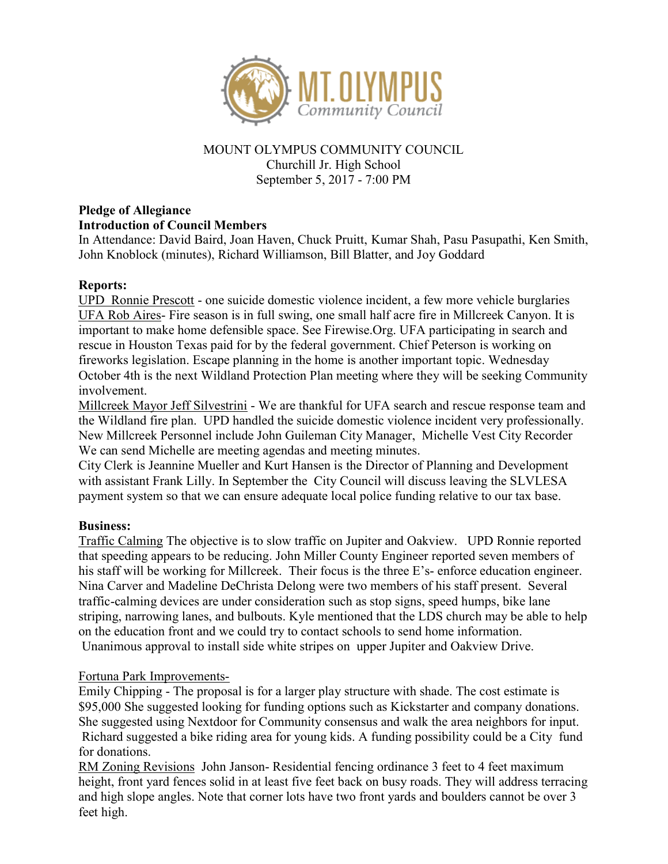

## MOUNT OLYMPUS COMMUNITY COUNCIL Churchill Jr. High School September 5, 2017 - 7:00 PM

# Pledge of Allegiance Introduction of Council Members

In Attendance: David Baird, Joan Haven, Chuck Pruitt, Kumar Shah, Pasu Pasupathi, Ken Smith, John Knoblock (minutes), Richard Williamson, Bill Blatter, and Joy Goddard

## Reports:

UPD Ronnie Prescott - one suicide domestic violence incident, a few more vehicle burglaries UFA Rob Aires- Fire season is in full swing, one small half acre fire in Millcreek Canyon. It is important to make home defensible space. See Firewise.Org. UFA participating in search and rescue in Houston Texas paid for by the federal government. Chief Peterson is working on fireworks legislation. Escape planning in the home is another important topic. Wednesday October 4th is the next Wildland Protection Plan meeting where they will be seeking Community involvement.

Millcreek Mayor Jeff Silvestrini - We are thankful for UFA search and rescue response team and the Wildland fire plan. UPD handled the suicide domestic violence incident very professionally. New Millcreek Personnel include John Guileman City Manager, Michelle Vest City Recorder We can send Michelle are meeting agendas and meeting minutes.

City Clerk is Jeannine Mueller and Kurt Hansen is the Director of Planning and Development with assistant Frank Lilly. In September the City Council will discuss leaving the SLVLESA payment system so that we can ensure adequate local police funding relative to our tax base.

### Business:

Traffic Calming The objective is to slow traffic on Jupiter and Oakview. UPD Ronnie reported that speeding appears to be reducing. John Miller County Engineer reported seven members of his staff will be working for Millcreek. Their focus is the three E's- enforce education engineer. Nina Carver and Madeline DeChrista Delong were two members of his staff present. Several traffic-calming devices are under consideration such as stop signs, speed humps, bike lane striping, narrowing lanes, and bulbouts. Kyle mentioned that the LDS church may be able to help on the education front and we could try to contact schools to send home information. Unanimous approval to install side white stripes on upper Jupiter and Oakview Drive.

### Fortuna Park Improvements-

Emily Chipping - The proposal is for a larger play structure with shade. The cost estimate is \$95,000 She suggested looking for funding options such as Kickstarter and company donations. She suggested using Nextdoor for Community consensus and walk the area neighbors for input. Richard suggested a bike riding area for young kids. A funding possibility could be a City fund for donations.

RM Zoning Revisions John Janson- Residential fencing ordinance 3 feet to 4 feet maximum height, front yard fences solid in at least five feet back on busy roads. They will address terracing and high slope angles. Note that corner lots have two front yards and boulders cannot be over 3 feet high.